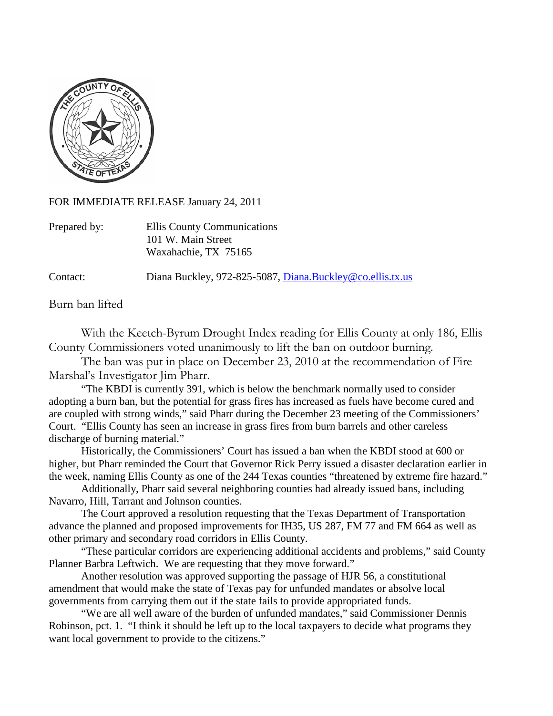

FOR IMMEDIATE RELEASE January 24, 2011

| Prepared by: | Ellis County Communications |
|--------------|-----------------------------|
|              | 101 W. Main Street          |
|              | Waxahachie, TX 75165        |

Contact: Diana Buckley, 972-825-5087, [Diana.Buckley@co.ellis.tx.us](mailto:Diana.Buckley@co.ellis.tx.us)

Burn ban lifted

With the Keetch-Byrum Drought Index reading for Ellis County at only 186, Ellis County Commissioners voted unanimously to lift the ban on outdoor burning.

The ban was put in place on December 23, 2010 at the recommendation of Fire Marshal's Investigator Jim Pharr.

"The KBDI is currently 391, which is below the benchmark normally used to consider adopting a burn ban, but the potential for grass fires has increased as fuels have become cured and are coupled with strong winds," said Pharr during the December 23 meeting of the Commissioners' Court. "Ellis County has seen an increase in grass fires from burn barrels and other careless discharge of burning material."

Historically, the Commissioners' Court has issued a ban when the KBDI stood at 600 or higher, but Pharr reminded the Court that Governor Rick Perry issued a disaster declaration earlier in the week, naming Ellis County as one of the 244 Texas counties "threatened by extreme fire hazard."

Additionally, Pharr said several neighboring counties had already issued bans, including Navarro, Hill, Tarrant and Johnson counties.

The Court approved a resolution requesting that the Texas Department of Transportation advance the planned and proposed improvements for IH35, US 287, FM 77 and FM 664 as well as other primary and secondary road corridors in Ellis County.

"These particular corridors are experiencing additional accidents and problems," said County Planner Barbra Leftwich. We are requesting that they move forward."

Another resolution was approved supporting the passage of HJR 56, a constitutional amendment that would make the state of Texas pay for unfunded mandates or absolve local governments from carrying them out if the state fails to provide appropriated funds.

"We are all well aware of the burden of unfunded mandates," said Commissioner Dennis Robinson, pct. 1. "I think it should be left up to the local taxpayers to decide what programs they want local government to provide to the citizens."